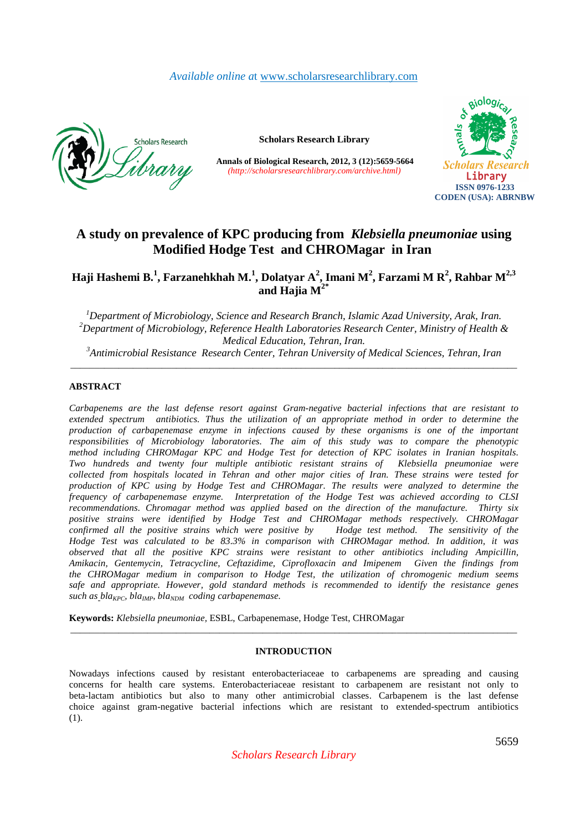# *Available online a*t www.scholarsresearchlibrary.com



**Scholars Research Library** 

**Annals of Biological Research, 2012, 3 (12):5659-5664** *(http://scholarsresearchlibrary.com/archive.html)*



# **A study on prevalence of KPC producing from** *Klebsiella pneumoniae* **using Modified Hodge Test and CHROMagar in Iran**

**Haji Hashemi B.<sup>1</sup> , Farzanehkhah M.<sup>1</sup> , Dolatyar A<sup>2</sup> , Imani M<sup>2</sup> , Farzami M R<sup>2</sup> , Rahbar M2,3 and Hajia M2\*** 

*Department of Microbiology, Science and Research Branch, Islamic Azad University, Arak, Iran. Department of Microbiology, Reference Health Laboratories Research Center, Ministry of Health & Medical Education, Tehran, Iran. Antimicrobial Resistance Research Center, Tehran University of Medical Sciences, Tehran, Iran* 

\_\_\_\_\_\_\_\_\_\_\_\_\_\_\_\_\_\_\_\_\_\_\_\_\_\_\_\_\_\_\_\_\_\_\_\_\_\_\_\_\_\_\_\_\_\_\_\_\_\_\_\_\_\_\_\_\_\_\_\_\_\_\_\_\_\_\_\_\_\_\_\_\_\_\_\_\_\_\_\_\_\_\_\_\_\_\_\_\_\_\_\_\_

### **ABSTRACT**

*Carbapenems are the last defense resort against Gram-negative bacterial infections that are resistant to extended spectrum antibiotics. Thus the utilization of an appropriate method in order to determine the production of carbapenemase enzyme in infections caused by these organisms is one of the important responsibilities of Microbiology laboratories. The aim of this study was to compare the phenotypic method including CHROMagar KPC and Hodge Test for detection of KPC isolates in Iranian hospitals. Two hundreds and twenty four multiple antibiotic resistant strains of Klebsiella pneumoniae were collected from hospitals located in Tehran and other major cities of Iran. These strains were tested for production of KPC using by Hodge Test and CHROMagar. The results were analyzed to determine the frequency of carbapenemase enzyme. Interpretation of the Hodge Test was achieved according to CLSI recommendations. Chromagar method was applied based on the direction of the manufacture. Thirty six*  positive strains were identified by Hodge Test and CHROMagar methods respectively. CHROMagar *confirmed all the positive strains which were positive by Hodge test method. The sensitivity of the Hodge Test was calculated to be 83.3% in comparison with CHROMagar method. In addition, it was observed that all the positive KPC strains were resistant to other antibiotics including Ampicillin, Amikacin, Gentemycin, Tetracycline, Ceftazidime, Ciprofloxacin and Imipenem Given the findings from the CHROMagar medium in comparison to Hodge Test, the utilization of chromogenic medium seems safe and appropriate. However, gold standard methods is recommended to identify the resistance genes such as blaKPC, blaIMP, blaNDM coding carbapenemase.* 

**Keywords:** *Klebsiella pneumoniae,* ESBL, Carbapenemase, Hodge Test, CHROMagar

## **INTRODUCTION**

\_\_\_\_\_\_\_\_\_\_\_\_\_\_\_\_\_\_\_\_\_\_\_\_\_\_\_\_\_\_\_\_\_\_\_\_\_\_\_\_\_\_\_\_\_\_\_\_\_\_\_\_\_\_\_\_\_\_\_\_\_\_\_\_\_\_\_\_\_\_\_\_\_\_\_\_\_\_\_\_\_\_\_\_\_\_\_\_\_\_\_\_\_

Nowadays infections caused by resistant enterobacteriaceae to carbapenems are spreading and causing concerns for health care systems. Enterobacteriaceae resistant to carbapenem are resistant not only to beta-lactam antibiotics but also to many other antimicrobial classes. Carbapenem is the last defense choice against gram-negative bacterial infections which are resistant to extended-spectrum antibiotics (1).

*Scholars Research Library*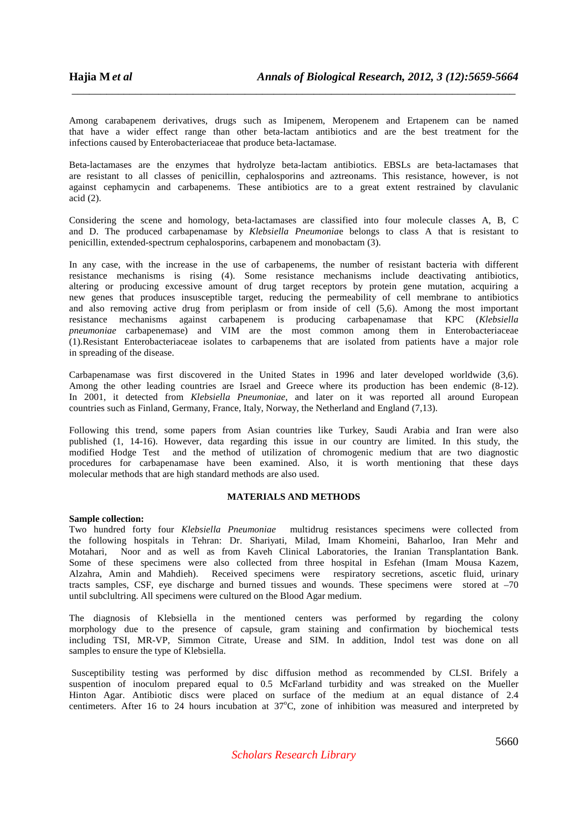Among carabapenem derivatives, drugs such as Imipenem, Meropenem and Ertapenem can be named that have a wider effect range than other beta-lactam antibiotics and are the best treatment for the infections caused by Enterobacteriaceae that produce beta-lactamase.

\_\_\_\_\_\_\_\_\_\_\_\_\_\_\_\_\_\_\_\_\_\_\_\_\_\_\_\_\_\_\_\_\_\_\_\_\_\_\_\_\_\_\_\_\_\_\_\_\_\_\_\_\_\_\_\_\_\_\_\_\_\_\_\_\_\_\_\_\_\_\_\_\_\_\_\_\_

Beta-lactamases are the enzymes that hydrolyze beta-lactam antibiotics. EBSLs are beta-lactamases that are resistant to all classes of penicillin, cephalosporins and aztreonams. This resistance, however, is not against cephamycin and carbapenems. These antibiotics are to a great extent restrained by clavulanic acid (2).

Considering the scene and homology, beta-lactamases are classified into four molecule classes A, B, C and D. The produced carbapenamase by *Klebsiella Pneumonia*e belongs to class A that is resistant to penicillin, extended-spectrum cephalosporins, carbapenem and monobactam (3).

In any case, with the increase in the use of carbapenems, the number of resistant bacteria with different resistance mechanisms is rising (4). Some resistance mechanisms include deactivating antibiotics, altering or producing excessive amount of drug target receptors by protein gene mutation, acquiring a new genes that produces insusceptible target, reducing the permeability of cell membrane to antibiotics and also removing active drug from periplasm or from inside of cell (5,6). Among the most important resistance mechanisms against carbapenem is producing carbapenamase that KPC (*Klebsiella pneumoniae* carbapenemase) and VIM are the most common among them in Enterobacteriaceae (1).Resistant Enterobacteriaceae isolates to carbapenems that are isolated from patients have a major role in spreading of the disease.

Carbapenamase was first discovered in the United States in 1996 and later developed worldwide (3,6). Among the other leading countries are Israel and Greece where its production has been endemic (8-12). In 2001, it detected from *Klebsiella Pneumoniae*, and later on it was reported all around European countries such as Finland, Germany, France, Italy, Norway, the Netherland and England (7,13).

Following this trend, some papers from Asian countries like Turkey, Saudi Arabia and Iran were also published (1, 14-16). However, data regarding this issue in our country are limited. In this study, the modified Hodge Test and the method of utilization of chromogenic medium that are two diagnostic procedures for carbapenamase have been examined. Also, it is worth mentioning that these days molecular methods that are high standard methods are also used.

#### **MATERIALS AND METHODS**

#### **Sample collection:**

Two hundred forty four *Klebsiella Pneumoniae* multidrug resistances specimens were collected from the following hospitals in Tehran: Dr. Shariyati, Milad, Imam Khomeini, Baharloo, Iran Mehr and Motahari, Noor and as well as from Kaveh Clinical Laboratories, the Iranian Transplantation Bank. Some of these specimens were also collected from three hospital in Esfehan (Imam Mousa Kazem, Alzahra, Amin and Mahdieh). Received specimens were respiratory secretions, ascetic fluid, urinary tracts samples, CSF, eye discharge and burned tissues and wounds. These specimens were stored at  $-70$ until subclultring. All specimens were cultured on the Blood Agar medium.

The diagnosis of Klebsiella in the mentioned centers was performed by regarding the colony morphology due to the presence of capsule, gram staining and confirmation by biochemical tests including TSI, MR-VP, Simmon Citrate, Urease and SIM. In addition, Indol test was done on all samples to ensure the type of Klebsiella.

 Susceptibility testing was performed by disc diffusion method as recommended by CLSI. Brifely a suspention of inoculom prepared equal to 0.5 McFarland turbidity and was streaked on the Mueller Hinton Agar. Antibiotic discs were placed on surface of the medium at an equal distance of 2.4 centimeters. After 16 to 24 hours incubation at 37°C, zone of inhibition was measured and interpreted by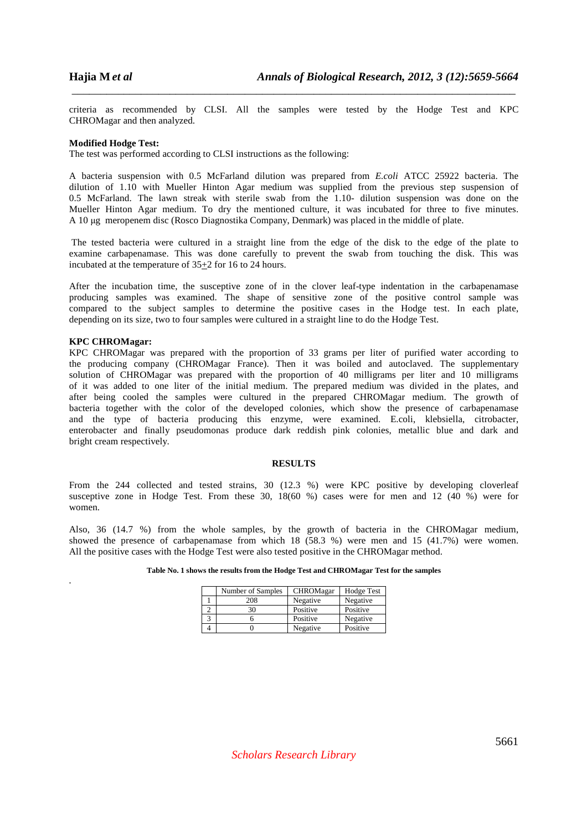criteria as recommended by CLSI. All the samples were tested by the Hodge Test and KPC CHROMagar and then analyzed.

\_\_\_\_\_\_\_\_\_\_\_\_\_\_\_\_\_\_\_\_\_\_\_\_\_\_\_\_\_\_\_\_\_\_\_\_\_\_\_\_\_\_\_\_\_\_\_\_\_\_\_\_\_\_\_\_\_\_\_\_\_\_\_\_\_\_\_\_\_\_\_\_\_\_\_\_\_

#### **Modified Hodge Test:**

The test was performed according to CLSI instructions as the following:

A bacteria suspension with 0.5 McFarland dilution was prepared from *E.coli* ATCC 25922 bacteria. The dilution of 1.10 with Mueller Hinton Agar medium was supplied from the previous step suspension of 0.5 McFarland. The lawn streak with sterile swab from the 1.10- dilution suspension was done on the Mueller Hinton Agar medium. To dry the mentioned culture, it was incubated for three to five minutes. A 10 µg meropenem disc (Rosco Diagnostika Company, Denmark) was placed in the middle of plate.

 The tested bacteria were cultured in a straight line from the edge of the disk to the edge of the plate to examine carbapenamase. This was done carefully to prevent the swab from touching the disk. This was incubated at the temperature of  $35\pm 2$  for 16 to 24 hours.

After the incubation time, the susceptive zone of in the clover leaf-type indentation in the carbapenamase producing samples was examined. The shape of sensitive zone of the positive control sample was compared to the subject samples to determine the positive cases in the Hodge test. In each plate, depending on its size, two to four samples were cultured in a straight line to do the Hodge Test.

# **KPC CHROMagar:**

*.* 

KPC CHROMagar was prepared with the proportion of 33 grams per liter of purified water according to the producing company (CHROMagar France). Then it was boiled and autoclaved. The supplementary solution of CHROMagar was prepared with the proportion of 40 milligrams per liter and 10 milligrams of it was added to one liter of the initial medium. The prepared medium was divided in the plates, and after being cooled the samples were cultured in the prepared CHROMagar medium. The growth of bacteria together with the color of the developed colonies, which show the presence of carbapenamase and the type of bacteria producing this enzyme, were examined. E.coli, klebsiella, citrobacter, enterobacter and finally pseudomonas produce dark reddish pink colonies, metallic blue and dark and bright cream respectively.

## **RESULTS**

From the 244 collected and tested strains, 30 (12.3 %) were KPC positive by developing cloverleaf susceptive zone in Hodge Test. From these 30, 18(60 %) cases were for men and 12 (40 %) were for women.

Also, 36 (14.7 %) from the whole samples, by the growth of bacteria in the CHROMagar medium, showed the presence of carbapenamase from which 18 (58.3 %) were men and 15 (41.7%) were women. All the positive cases with the Hodge Test were also tested positive in the CHROMagar method.

| Number of Samples | CHROMagar | Hodge Test |
|-------------------|-----------|------------|
| 208               | Negative  | Negative   |
| 30                | Positive  | Positive   |
|                   | Positive  | Negative   |
|                   | Negative  | Positive   |

**Table No. 1 shows the results from the Hodge Test and CHROMagar Test for the samples**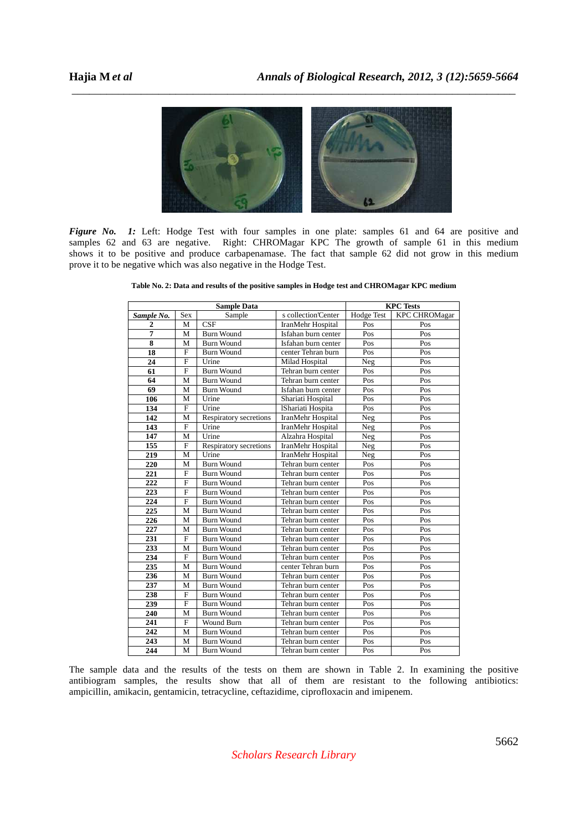

\_\_\_\_\_\_\_\_\_\_\_\_\_\_\_\_\_\_\_\_\_\_\_\_\_\_\_\_\_\_\_\_\_\_\_\_\_\_\_\_\_\_\_\_\_\_\_\_\_\_\_\_\_\_\_\_\_\_\_\_\_\_\_\_\_\_\_\_\_\_\_\_\_\_\_\_\_

*Figure No. 1:* Left: Hodge Test with four samples in one plate: samples 61 and 64 are positive and samples 62 and 63 are negative. Right: CHROMagar KPC The growth of sample 61 in this medium shows it to be positive and produce carbapenamase. The fact that sample 62 did not grow in this medium prove it to be negative which was also negative in the Hodge Test.

| <b>Sample Data</b> |                |                         | <b>KPC</b> Tests    |            |                      |
|--------------------|----------------|-------------------------|---------------------|------------|----------------------|
| Sample No.         | <b>Sex</b>     | Sample                  | s collection'Center | Hodge Test | <b>KPC CHROMagar</b> |
| $\overline{2}$     | M              | $\overline{\text{CSF}}$ | IranMehr Hospital   | Pos        | Pos                  |
| $\overline{7}$     | M              | <b>Burn Wound</b>       | Isfahan burn center | Pos        | Pos                  |
| 8                  | M              | <b>Burn Wound</b>       | Isfahan burn center | Pos        | Pos                  |
| 18                 | $\mathbf{F}$   | <b>Burn Wound</b>       | center Tehran burn  | Pos        | Pos                  |
| 24                 | $\overline{F}$ | Urine                   | Milad Hospital      | Neg        | Pos                  |
| 61                 | $\mathbf{F}$   | <b>Burn Wound</b>       | Tehran burn center  | Pos        | Pos                  |
| 64                 | M              | <b>Burn Wound</b>       | Tehran burn center  | Pos        | Pos                  |
| 69                 | M              | <b>Burn Wound</b>       | Isfahan burn center | Pos        | Pos                  |
| 106                | M              | Urine                   | Shariati Hospital   | Pos        | Pos                  |
| 134                | $\mathbf F$    | Urine                   | IShariati Hospita   | Pos        | Pos                  |
| 142                | M              | Respiratory secretions  | IranMehr Hospital   | Neg        | Pos                  |
| 143                | $\mathbf{F}$   | Urine                   | IranMehr Hospital   | Neg        | Pos                  |
| 147                | M              | Urine                   | Alzahra Hospital    | <b>Neg</b> | Pos                  |
| 155                | $\overline{F}$ | Respiratory secretions  | IranMehr Hospital   | Neg        | Pos                  |
| 219                | M              | Urine                   | IranMehr Hospital   | Neg        | Pos                  |
| 220                | M              | <b>Burn Wound</b>       | Tehran burn center  | Pos        | Pos                  |
| 221                | $\mathbf F$    | <b>Burn Wound</b>       | Tehran burn center  | Pos        | Pos                  |
| 222                | $\mathbf{F}$   | <b>Burn Wound</b>       | Tehran burn center  | Pos        | Pos                  |
| 223                | $\mathbf{F}$   | <b>Burn Wound</b>       | Tehran burn center  | Pos        | Pos                  |
| 224                | $\mathbf{F}$   | <b>Burn Wound</b>       | Tehran burn center  | Pos        | Pos                  |
| 225                | M              | <b>Burn Wound</b>       | Tehran burn center  | Pos        | Pos                  |
| 226                | M              | <b>Burn Wound</b>       | Tehran burn center  | Pos        | Pos                  |
| 227                | M              | <b>Burn Wound</b>       | Tehran burn center  | Pos        | Pos                  |
| 231                | $\mathbf{F}$   | <b>Burn Wound</b>       | Tehran burn center  | Pos        | Pos                  |
| 233                | M              | <b>Burn Wound</b>       | Tehran burn center  | Pos        | $\overline{Pos}$     |
| 234                | $\overline{F}$ | <b>Burn Wound</b>       | Tehran burn center  | Pos        | Pos                  |
| 235                | M              | <b>Burn Wound</b>       | center Tehran burn  | Pos        | Pos                  |
| 236                | M              | <b>Burn Wound</b>       | Tehran burn center  | Pos        | Pos                  |
| 237                | M              | <b>Burn Wound</b>       | Tehran burn center  | Pos        | Pos                  |
| 238                | $\mathbf{F}$   | <b>Burn Wound</b>       | Tehran burn center  | Pos        | Pos                  |
| 239                | $\mathbf{F}$   | <b>Burn Wound</b>       | Tehran burn center  | Pos        | Pos                  |
| 240                | M              | <b>Burn Wound</b>       | Tehran burn center  | Pos        | Pos                  |
| 241                | $\mathbf{F}$   | Wound Burn              | Tehran burn center  | Pos        | Pos                  |
| 242                | M              | <b>Burn Wound</b>       | Tehran burn center  | Pos        | Pos                  |
| 243                | M              | <b>Burn Wound</b>       | Tehran burn center  | Pos        | Pos                  |
| 244                | M              | <b>Burn Wound</b>       | Tehran burn center  | Pos        | Pos                  |

**Table No. 2: Data and results of the positive samples in Hodge test and CHROMagar KPC medium** 

The sample data and the results of the tests on them are shown in Table 2. In examining the positive antibiogram samples, the results show that all of them are resistant to the following antibiotics: ampicillin, amikacin, gentamicin, tetracycline, ceftazidime, ciprofloxacin and imipenem.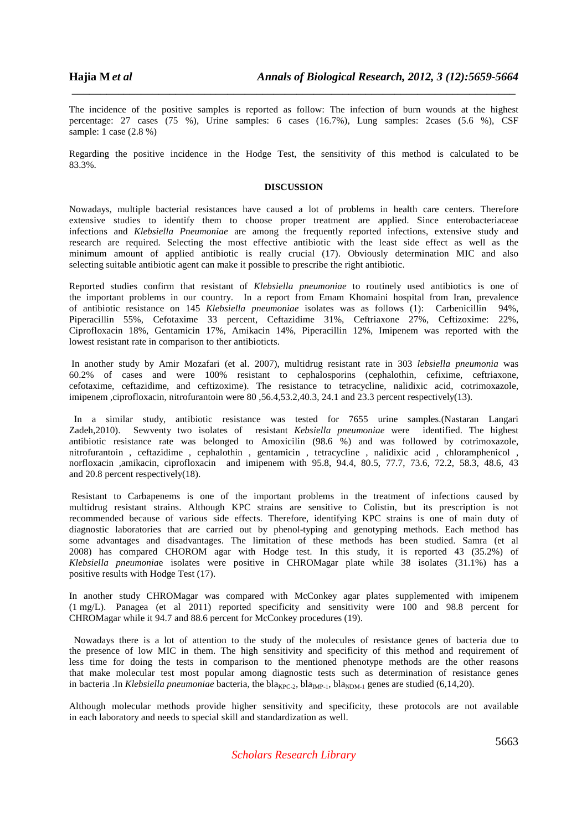The incidence of the positive samples is reported as follow: The infection of burn wounds at the highest percentage: 27 cases (75 %), Urine samples: 6 cases (16.7%), Lung samples: 2cases (5.6 %), CSF sample: 1 case (2.8 %)

\_\_\_\_\_\_\_\_\_\_\_\_\_\_\_\_\_\_\_\_\_\_\_\_\_\_\_\_\_\_\_\_\_\_\_\_\_\_\_\_\_\_\_\_\_\_\_\_\_\_\_\_\_\_\_\_\_\_\_\_\_\_\_\_\_\_\_\_\_\_\_\_\_\_\_\_\_

Regarding the positive incidence in the Hodge Test, the sensitivity of this method is calculated to be 83.3%.

#### **DISCUSSION**

Nowadays, multiple bacterial resistances have caused a lot of problems in health care centers. Therefore extensive studies to identify them to choose proper treatment are applied. Since enterobacteriaceae infections and *Klebsiella Pneumoniae* are among the frequently reported infections, extensive study and research are required. Selecting the most effective antibiotic with the least side effect as well as the minimum amount of applied antibiotic is really crucial (17). Obviously determination MIC and also selecting suitable antibiotic agent can make it possible to prescribe the right antibiotic.

Reported studies confirm that resistant of *Klebsiella pneumoniae* to routinely used antibiotics is one of the important problems in our country. In a report from Emam Khomaini hospital from Iran, prevalence of antibiotic resistance on 145 *Klebsiella pneumoniae* isolates was as follows (1): Carbenicillin 94%, Piperacillin 55%, Cefotaxime 33 percent, Ceftazidime 31%, Ceftriaxone 27%, Ceftizoxime: 22%, Ciprofloxacin 18%, Gentamicin 17%, Amikacin 14%, Piperacillin 12%, Imipenem was reported with the lowest resistant rate in comparison to ther antibioticts.

 In another study by Amir Mozafari (et al. 2007), multidrug resistant rate in 303 *lebsiella pneumonia* was 60.2% of cases and were 100% resistant to cephalosporins (cephalothin, cefixime, ceftriaxone, cefotaxime, ceftazidime, and ceftizoxime). The resistance to tetracycline, nalidixic acid, cotrimoxazole, imipenem ,ciprofloxacin, nitrofurantoin were 80 ,56.4,53.2,40.3, 24.1 and 23.3 percent respectively(13).

 In a similar study, antibiotic resistance was tested for 7655 urine samples.(Nastaran Langari Zadeh,2010). Sewventy two isolates of resistant *Kebsiella pneumoniae* were identified. The highest antibiotic resistance rate was belonged to Amoxicilin (98.6 %) and was followed by cotrimoxazole, nitrofurantoin , ceftazidime , cephalothin , gentamicin , tetracycline , nalidixic acid , chloramphenicol , norfloxacin ,amikacin, ciprofloxacin and imipenem with 95.8, 94.4, 80.5, 77.7, 73.6, 72.2, 58.3, 48.6, 43 and 20.8 percent respectively(18).

 Resistant to Carbapenems is one of the important problems in the treatment of infections caused by multidrug resistant strains. Although KPC strains are sensitive to Colistin, but its prescription is not recommended because of various side effects. Therefore, identifying KPC strains is one of main duty of diagnostic laboratories that are carried out by phenol-typing and genotyping methods. Each method has some advantages and disadvantages. The limitation of these methods has been studied. Samra (et al 2008) has compared CHOROM agar with Hodge test. In this study, it is reported 43 (35.2%) of *Klebsiella pneumonia*e isolates were positive in CHROMagar plate while 38 isolates (31.1%) has a positive results with Hodge Test (17).

In another study CHROMagar was compared with McConkey agar plates supplemented with imipenem (1 mg/L). Panagea (et al 2011) reported specificity and sensitivity were 100 and 98.8 percent for CHROMagar while it 94.7 and 88.6 percent for McConkey procedures (19).

 Nowadays there is a lot of attention to the study of the molecules of resistance genes of bacteria due to the presence of low MIC in them. The high sensitivity and specificity of this method and requirement of less time for doing the tests in comparison to the mentioned phenotype methods are the other reasons that make molecular test most popular among diagnostic tests such as determination of resistance genes in bacteria .In *Klebsiella pneumoniae* bacteria, the bla<sub>KPC-2</sub>, bla<sub>NP-1</sub>, bla<sub>NDM-1</sub> genes are studied (6,14,20).

Although molecular methods provide higher sensitivity and specificity, these protocols are not available in each laboratory and needs to special skill and standardization as well.

*Scholars Research Library*